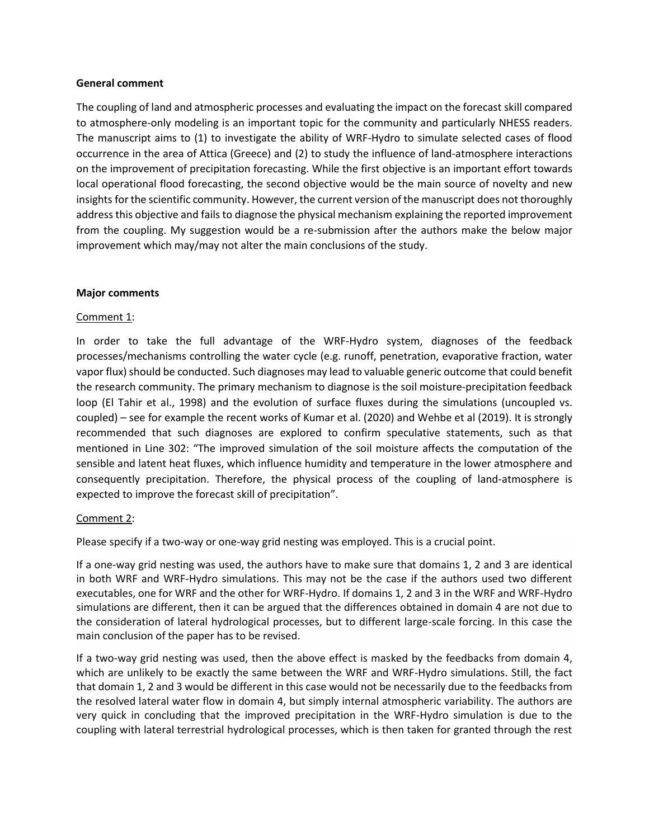## **General comment**

The coupling of land and atmospheric processes and evaluating the impact on the forecast skill compared to atmosphere-only modeling is an important topic for the community and particularly NHESS readers. The manuscript aims to (1) to investigate the ability of WRF-Hydro to simulate selected cases of flood occurrence in the area of Attica (Greece) and (2) to study the influence of land-atmosphere interactions on the improvement of precipitation forecasting. While the first objective is an important effort towards local operational flood forecasting, the second objective would be the main source of novelty and new insights for the scientific community. However, the current version of the manuscript does not thoroughly address this objective and fails to diagnose the physical mechanism explaining the reported improvement from the coupling. My suggestion would be a re-submission after the authors make the below major improvement which may/may not alter the main conclusions of the study.

## **Major comments**

## Comment 1:

In order to take the full advantage of the WRF-Hydro system, diagnoses of the feedback processes/mechanisms controlling the water cycle (e.g. runoff, penetration, evaporative fraction, water vapor flux) should be conducted. Such diagnoses may lead to valuable generic outcome that could benefit the research community. The primary mechanism to diagnose is the soil moisture-precipitation feedback loop (El Tahir et al., 1998) and the evolution of surface fluxes during the simulations (uncoupled vs. coupled) – see for example the recent works of Kumar et al. (2020) and Wehbe et al (2019). It is strongly recommended that such diagnoses are explored to confirm speculative statements, such as that mentioned in Line 302: "The improved simulation of the soil moisture affects the computation of the sensible and latent heat fluxes, which influence humidity and temperature in the lower atmosphere and consequently precipitation. Therefore, the physical process of the coupling of land-atmosphere is expected to improve the forecast skill of precipitation".

## Comment 2:

Please specify if a two-way or one-way grid nesting was employed. This is a crucial point.

If a one-way grid nesting was used, the authors have to make sure that domains 1, 2 and 3 are identical in both WRF and WRF-Hydro simulations. This may not be the case if the authors used two different executables, one for WRF and the other for WRF-Hydro. If domains 1, 2 and 3 in the WRF and WRF-Hydro simulations are different, then it can be argued that the differences obtained in domain 4 are not due to the consideration of lateral hydrological processes, but to different large-scale forcing. In this case the main conclusion of the paper has to be revised.

If a two-way grid nesting was used, then the above effect is masked by the feedbacks from domain 4, which are unlikely to be exactly the same between the WRF and WRF-Hydro simulations. Still, the fact that domain 1, 2 and 3 would be different in this case would not be necessarily due to the feedbacks from the resolved lateral water flow in domain 4, but simply internal atmospheric variability. The authors are very quick in concluding that the improved precipitation in the WRF-Hydro simulation is due to the coupling with lateral terrestrial hydrological processes, which is then taken for granted through the rest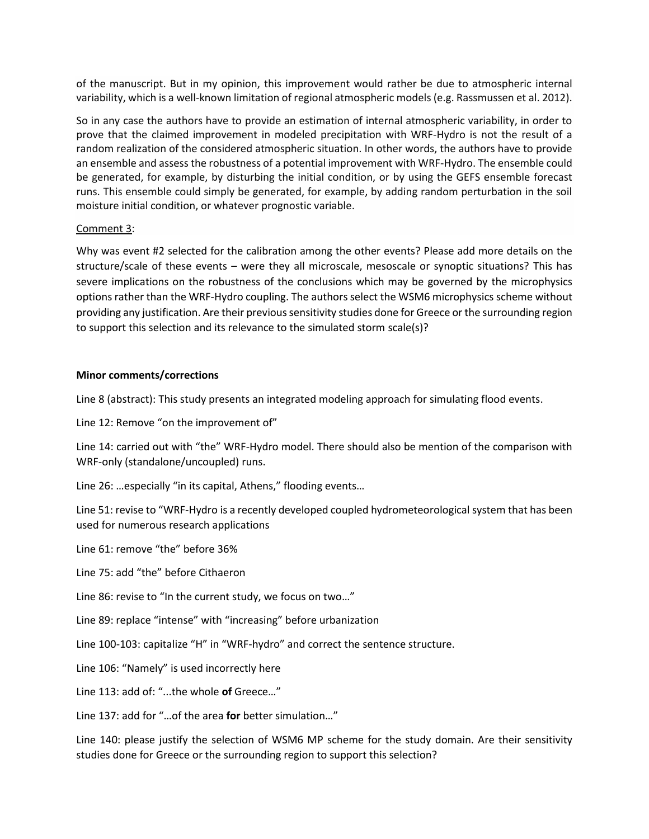of the manuscript. But in my opinion, this improvement would rather be due to atmospheric internal variability, which is a well-known limitation of regional atmospheric models (e.g. Rassmussen et al. 2012).

So in any case the authors have to provide an estimation of internal atmospheric variability, in order to prove that the claimed improvement in modeled precipitation with WRF-Hydro is not the result of a random realization of the considered atmospheric situation. In other words, the authors have to provide an ensemble and assess the robustness of a potential improvement with WRF-Hydro. The ensemble could be generated, for example, by disturbing the initial condition, or by using the GEFS ensemble forecast runs. This ensemble could simply be generated, for example, by adding random perturbation in the soil moisture initial condition, or whatever prognostic variable.

## Comment 3:

Why was event #2 selected for the calibration among the other events? Please add more details on the structure/scale of these events – were they all microscale, mesoscale or synoptic situations? This has severe implications on the robustness of the conclusions which may be governed by the microphysics options rather than the WRF-Hydro coupling. The authors select the WSM6 microphysics scheme without providing any justification. Are their previous sensitivity studies done for Greece or the surrounding region to support this selection and its relevance to the simulated storm scale(s)?

## **Minor comments/corrections**

Line 8 (abstract): This study presents an integrated modeling approach for simulating flood events.

Line 12: Remove "on the improvement of"

Line 14: carried out with "the" WRF-Hydro model. There should also be mention of the comparison with WRF-only (standalone/uncoupled) runs.

Line 26: ...especially "in its capital, Athens," flooding events...

Line 51: revise to "WRF-Hydro is a recently developed coupled hydrometeorological system that has been used for numerous research applications

Line 61: remove "the" before 36%

Line 75: add "the" before Cithaeron

Line 86: revise to "In the current study, we focus on two…"

Line 89: replace "intense" with "increasing" before urbanization

Line 100-103: capitalize "H" in "WRF-hydro" and correct the sentence structure.

Line 106: "Namely" is used incorrectly here

Line 113: add of: "...the whole **of** Greece…"

Line 137: add for "…of the area **for** better simulation…"

Line 140: please justify the selection of WSM6 MP scheme for the study domain. Are their sensitivity studies done for Greece or the surrounding region to support this selection?